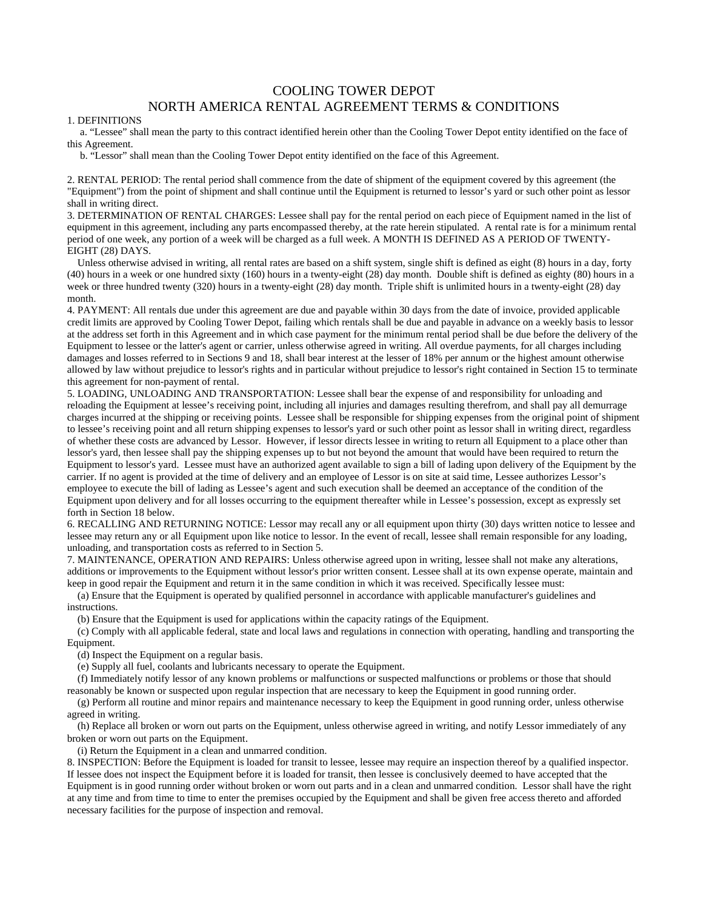## COOLING TOWER DEPOT NORTH AMERICA RENTAL AGREEMENT TERMS & CONDITIONS

## 1. DEFINITIONS

 a. "Lessee" shall mean the party to this contract identified herein other than the Cooling Tower Depot entity identified on the face of this Agreement.

b. "Lessor" shall mean than the Cooling Tower Depot entity identified on the face of this Agreement.

2. RENTAL PERIOD: The rental period shall commence from the date of shipment of the equipment covered by this agreement (the "Equipment") from the point of shipment and shall continue until the Equipment is returned to lessor's yard or such other point as lessor shall in writing direct.

3. DETERMINATION OF RENTAL CHARGES: Lessee shall pay for the rental period on each piece of Equipment named in the list of equipment in this agreement, including any parts encompassed thereby, at the rate herein stipulated. A rental rate is for a minimum rental period of one week, any portion of a week will be charged as a full week. A MONTH IS DEFINED AS A PERIOD OF TWENTY-EIGHT (28) DAYS.

 Unless otherwise advised in writing, all rental rates are based on a shift system, single shift is defined as eight (8) hours in a day, forty (40) hours in a week or one hundred sixty (160) hours in a twenty-eight (28) day month. Double shift is defined as eighty (80) hours in a week or three hundred twenty (320) hours in a twenty-eight (28) day month. Triple shift is unlimited hours in a twenty-eight (28) day month.

4. PAYMENT: All rentals due under this agreement are due and payable within 30 days from the date of invoice, provided applicable credit limits are approved by Cooling Tower Depot, failing which rentals shall be due and payable in advance on a weekly basis to lessor at the address set forth in this Agreement and in which case payment for the minimum rental period shall be due before the delivery of the Equipment to lessee or the latter's agent or carrier, unless otherwise agreed in writing. All overdue payments, for all charges including damages and losses referred to in Sections 9 and 18, shall bear interest at the lesser of 18% per annum or the highest amount otherwise allowed by law without prejudice to lessor's rights and in particular without prejudice to lessor's right contained in Section 15 to terminate this agreement for non-payment of rental.

5. LOADING, UNLOADING AND TRANSPORTATION: Lessee shall bear the expense of and responsibility for unloading and reloading the Equipment at lessee's receiving point, including all injuries and damages resulting therefrom, and shall pay all demurrage charges incurred at the shipping or receiving points. Lessee shall be responsible for shipping expenses from the original point of shipment to lessee's receiving point and all return shipping expenses to lessor's yard or such other point as lessor shall in writing direct, regardless of whether these costs are advanced by Lessor. However, if lessor directs lessee in writing to return all Equipment to a place other than lessor's yard, then lessee shall pay the shipping expenses up to but not beyond the amount that would have been required to return the Equipment to lessor's yard. Lessee must have an authorized agent available to sign a bill of lading upon delivery of the Equipment by the carrier. If no agent is provided at the time of delivery and an employee of Lessor is on site at said time, Lessee authorizes Lessor's employee to execute the bill of lading as Lessee's agent and such execution shall be deemed an acceptance of the condition of the Equipment upon delivery and for all losses occurring to the equipment thereafter while in Lessee's possession, except as expressly set forth in Section 18 below.

6. RECALLING AND RETURNING NOTICE: Lessor may recall any or all equipment upon thirty (30) days written notice to lessee and lessee may return any or all Equipment upon like notice to lessor. In the event of recall, lessee shall remain responsible for any loading, unloading, and transportation costs as referred to in Section 5.

7. MAINTENANCE, OPERATION AND REPAIRS: Unless otherwise agreed upon in writing, lessee shall not make any alterations, additions or improvements to the Equipment without lessor's prior written consent. Lessee shall at its own expense operate, maintain and keep in good repair the Equipment and return it in the same condition in which it was received. Specifically lessee must:

(a) Ensure that the Equipment is operated by qualified personnel in accordance with applicable manufacturer's guidelines and instructions.

(b) Ensure that the Equipment is used for applications within the capacity ratings of the Equipment.

(c) Comply with all applicable federal, state and local laws and regulations in connection with operating, handling and transporting the Equipment.

(d) Inspect the Equipment on a regular basis.

(e) Supply all fuel, coolants and lubricants necessary to operate the Equipment.

(f) Immediately notify lessor of any known problems or malfunctions or suspected malfunctions or problems or those that should reasonably be known or suspected upon regular inspection that are necessary to keep the Equipment in good running order.

(g) Perform all routine and minor repairs and maintenance necessary to keep the Equipment in good running order, unless otherwise agreed in writing.

(h) Replace all broken or worn out parts on the Equipment, unless otherwise agreed in writing, and notify Lessor immediately of any broken or worn out parts on the Equipment.

(i) Return the Equipment in a clean and unmarred condition.

8. INSPECTION: Before the Equipment is loaded for transit to lessee, lessee may require an inspection thereof by a qualified inspector. If lessee does not inspect the Equipment before it is loaded for transit, then lessee is conclusively deemed to have accepted that the Equipment is in good running order without broken or worn out parts and in a clean and unmarred condition. Lessor shall have the right at any time and from time to time to enter the premises occupied by the Equipment and shall be given free access thereto and afforded necessary facilities for the purpose of inspection and removal.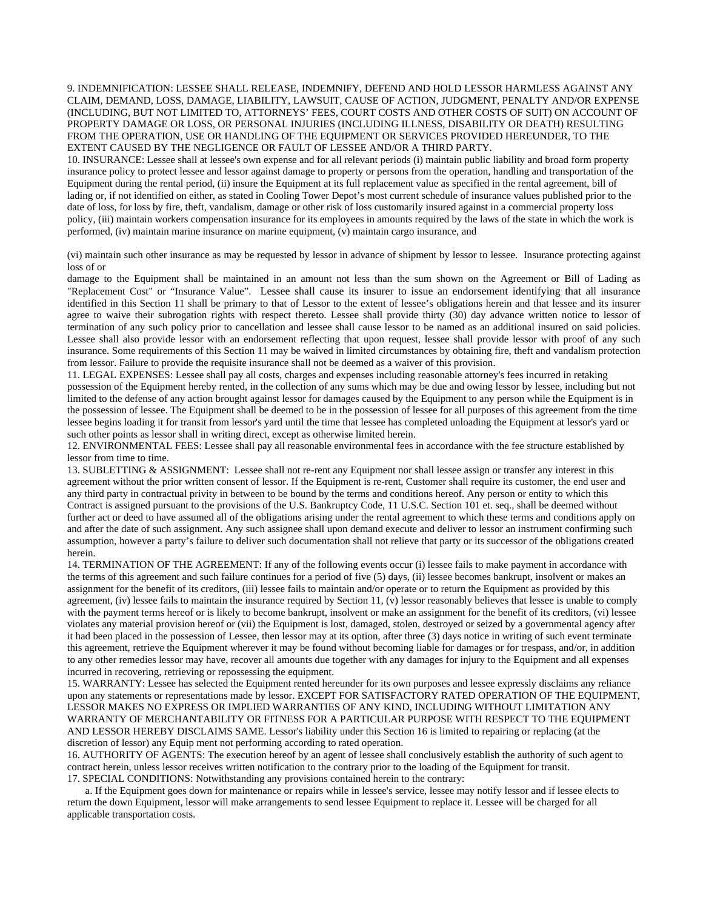## 9. INDEMNIFICATION: LESSEE SHALL RELEASE, INDEMNIFY, DEFEND AND HOLD LESSOR HARMLESS AGAINST ANY CLAIM, DEMAND, LOSS, DAMAGE, LIABILITY, LAWSUIT, CAUSE OF ACTION, JUDGMENT, PENALTY AND/OR EXPENSE (INCLUDING, BUT NOT LIMITED TO, ATTORNEYS' FEES, COURT COSTS AND OTHER COSTS OF SUIT) ON ACCOUNT OF PROPERTY DAMAGE OR LOSS, OR PERSONAL INJURIES (INCLUDING ILLNESS, DISABILITY OR DEATH) RESULTING FROM THE OPERATION, USE OR HANDLING OF THE EQUIPMENT OR SERVICES PROVIDED HEREUNDER, TO THE EXTENT CAUSED BY THE NEGLIGENCE OR FAULT OF LESSEE AND/OR A THIRD PARTY.

10. INSURANCE: Lessee shall at lessee's own expense and for all relevant periods (i) maintain public liability and broad form property insurance policy to protect lessee and lessor against damage to property or persons from the operation, handling and transportation of the Equipment during the rental period, (ii) insure the Equipment at its full replacement value as specified in the rental agreement, bill of lading or, if not identified on either, as stated in Cooling Tower Depot's most current schedule of insurance values published prior to the date of loss, for loss by fire, theft, vandalism, damage or other risk of loss customarily insured against in a commercial property loss policy, (iii) maintain workers compensation insurance for its employees in amounts required by the laws of the state in which the work is performed, (iv) maintain marine insurance on marine equipment, (v) maintain cargo insurance, and

(vi) maintain such other insurance as may be requested by lessor in advance of shipment by lessor to lessee. Insurance protecting against loss of or

damage to the Equipment shall be maintained in an amount not less than the sum shown on the Agreement or Bill of Lading as "Replacement Cost" or "Insurance Value". Lessee shall cause its insurer to issue an endorsement identifying that all insurance identified in this Section 11 shall be primary to that of Lessor to the extent of lessee's obligations herein and that lessee and its insurer agree to waive their subrogation rights with respect thereto. Lessee shall provide thirty (30) day advance written notice to lessor of termination of any such policy prior to cancellation and lessee shall cause lessor to be named as an additional insured on said policies. Lessee shall also provide lessor with an endorsement reflecting that upon request, lessee shall provide lessor with proof of any such insurance. Some requirements of this Section 11 may be waived in limited circumstances by obtaining fire, theft and vandalism protection from lessor. Failure to provide the requisite insurance shall not be deemed as a waiver of this provision.

11. LEGAL EXPENSES: Lessee shall pay all costs, charges and expenses including reasonable attorney's fees incurred in retaking possession of the Equipment hereby rented, in the collection of any sums which may be due and owing lessor by lessee, including but not limited to the defense of any action brought against lessor for damages caused by the Equipment to any person while the Equipment is in the possession of lessee. The Equipment shall be deemed to be in the possession of lessee for all purposes of this agreement from the time lessee begins loading it for transit from lessor's yard until the time that lessee has completed unloading the Equipment at lessor's yard or such other points as lessor shall in writing direct, except as otherwise limited herein.

12. ENVIRONMENTAL FEES: Lessee shall pay all reasonable environmental fees in accordance with the fee structure established by lessor from time to time.

13. SUBLETTING & ASSIGNMENT: Lessee shall not re-rent any Equipment nor shall lessee assign or transfer any interest in this agreement without the prior written consent of lessor. If the Equipment is re-rent, Customer shall require its customer, the end user and any third party in contractual privity in between to be bound by the terms and conditions hereof. Any person or entity to which this Contract is assigned pursuant to the provisions of the U.S. Bankruptcy Code, 11 U.S.C. Section 101 et. seq., shall be deemed without further act or deed to have assumed all of the obligations arising under the rental agreement to which these terms and conditions apply on and after the date of such assignment. Any such assignee shall upon demand execute and deliver to lessor an instrument confirming such assumption, however a party's failure to deliver such documentation shall not relieve that party or its successor of the obligations created herein.

14. TERMINATION OF THE AGREEMENT: If any of the following events occur (i) lessee fails to make payment in accordance with the terms of this agreement and such failure continues for a period of five (5) days, (ii) lessee becomes bankrupt, insolvent or makes an assignment for the benefit of its creditors, (iii) lessee fails to maintain and/or operate or to return the Equipment as provided by this agreement, (iv) lessee fails to maintain the insurance required by Section 11, (v) lessor reasonably believes that lessee is unable to comply with the payment terms hereof or is likely to become bankrupt, insolvent or make an assignment for the benefit of its creditors, (vi) lessee violates any material provision hereof or (vii) the Equipment is lost, damaged, stolen, destroyed or seized by a governmental agency after it had been placed in the possession of Lessee, then lessor may at its option, after three (3) days notice in writing of such event terminate this agreement, retrieve the Equipment wherever it may be found without becoming liable for damages or for trespass, and/or, in addition to any other remedies lessor may have, recover all amounts due together with any damages for injury to the Equipment and all expenses incurred in recovering, retrieving or repossessing the equipment.

15. WARRANTY: Lessee has selected the Equipment rented hereunder for its own purposes and lessee expressly disclaims any reliance upon any statements or representations made by lessor. EXCEPT FOR SATISFACTORY RATED OPERATION OF THE EQUIPMENT, LESSOR MAKES NO EXPRESS OR IMPLIED WARRANTIES OF ANY KIND, INCLUDING WITHOUT LIMITATION ANY WARRANTY OF MERCHANTABILITY OR FITNESS FOR A PARTICULAR PURPOSE WITH RESPECT TO THE EQUIPMENT AND LESSOR HEREBY DISCLAIMS SAME. Lessor's liability under this Section 16 is limited to repairing or replacing (at the discretion of lessor) any Equip ment not performing according to rated operation.

16. AUTHORITY OF AGENTS: The execution hereof by an agent of lessee shall conclusively establish the authority of such agent to contract herein, unless lessor receives written notification to the contrary prior to the loading of the Equipment for transit. 17. SPECIAL CONDITIONS: Notwithstanding any provisions contained herein to the contrary:

 a. If the Equipment goes down for maintenance or repairs while in lessee's service, lessee may notify lessor and if lessee elects to return the down Equipment, lessor will make arrangements to send lessee Equipment to replace it. Lessee will be charged for all applicable transportation costs.